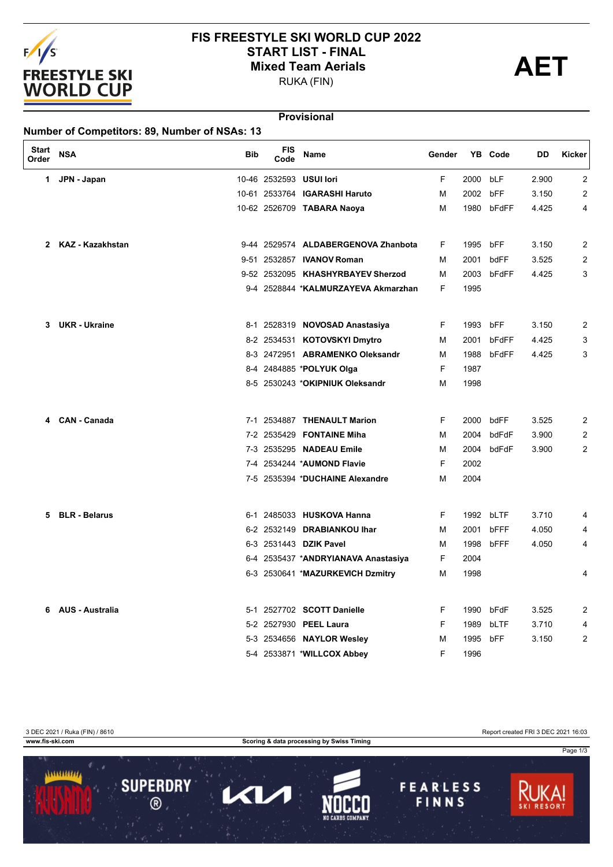

## **FIS FREESTYLE SKI WORLD CUP 2022** START LIST - FINAL<br>
Mixed Team Aerials<br>
PUKA (FIN)

RUKA (FIN)

#### **Provisional**

| <b>Start</b><br>Order | <b>NSA</b>             | <b>Bib</b> | <b>FIS</b><br>Code | Name                                | Gender |          | YB Code    | DD    | Kicker |
|-----------------------|------------------------|------------|--------------------|-------------------------------------|--------|----------|------------|-------|--------|
| 1.                    | JPN - Japan            |            |                    | 10-46 2532593 USUI lori             | F      | 2000     | bLF        | 2.900 | 2      |
|                       |                        |            |                    | 10-61 2533764 IGARASHI Haruto       | М      | 2002 bFF |            | 3.150 | 2      |
|                       |                        |            |                    | 10-62 2526709 TABARA Naoya          | м      |          | 1980 bFdFF | 4.425 | 4      |
| $\mathbf{2}$          | KAZ - Kazakhstan       |            |                    | 9-44 2529574 ALDABERGENOVA Zhanbota | F      | 1995     | bFF        | 3.150 | 2      |
|                       |                        |            |                    | 9-51 2532857 IVANOV Roman           | м      | 2001     | bdFF       | 3.525 | 2      |
|                       |                        |            |                    | 9-52 2532095 KHASHYRBAYEV Sherzod   | м      | 2003     | bFdFF      | 4.425 | 3      |
|                       |                        |            |                    | 9-4 2528844 *KALMURZAYEVA Akmarzhan | F      | 1995     |            |       |        |
| 3.                    | <b>UKR</b> - Ukraine   |            |                    | 8-1 2528319 NOVOSAD Anastasiya      | F      | 1993     | bFF        | 3.150 | 2      |
|                       |                        |            |                    | 8-2 2534531 KOTOVSKYI Dmytro        | М      | 2001     | bFdFF      | 4.425 | 3      |
|                       |                        |            |                    | 8-3 2472951 ABRAMENKO Oleksandr     | м      | 1988     | bFdFF      | 4.425 | 3      |
|                       |                        |            |                    | 8-4 2484885 *POLYUK Olga            | F      | 1987     |            |       |        |
|                       |                        |            |                    | 8-5 2530243 *OKIPNIUK Oleksandr     | М      | 1998     |            |       |        |
| 4                     | <b>CAN - Canada</b>    |            |                    | 7-1 2534887 THENAULT Marion         | F      | 2000     | bdFF       | 3.525 | 2      |
|                       |                        |            |                    | 7-2 2535429 FONTAINE Miha           | М      | 2004     | bdFdF      | 3.900 | 2      |
|                       |                        |            |                    | 7-3 2535295 NADEAU Emile            | м      | 2004     | bdFdF      | 3.900 | 2      |
|                       |                        |            |                    | 7-4 2534244 *AUMOND Flavie          | F      | 2002     |            |       |        |
|                       |                        |            |                    | 7-5 2535394 *DUCHAINE Alexandre     | M      | 2004     |            |       |        |
| 5                     | <b>BLR - Belarus</b>   |            |                    | 6-1 2485033 HUSKOVA Hanna           | F      |          | 1992 bLTF  | 3.710 | 4      |
|                       |                        |            |                    | 6-2 2532149 DRABIANKOU Ihar         | м      | 2001     | bFFF       | 4.050 | 4      |
|                       |                        |            |                    | 6-3 2531443 DZIK Pavel              | M      | 1998     | bFFF       | 4.050 | 4      |
|                       |                        |            |                    | 6-4 2535437 *ANDRYIANAVA Anastasiya | F      | 2004     |            |       |        |
|                       |                        |            |                    | 6-3 2530641 *MAZURKEVICH Dzmitry    | м      | 1998     |            |       | 4      |
| 6.                    | <b>AUS - Australia</b> |            |                    | 5-1 2527702 SCOTT Danielle          | F      | 1990     | bFdF       | 3.525 | 2      |
|                       |                        |            |                    | 5-2 2527930 PEEL Laura              | F      | 1989     | bLTF       | 3.710 | 4      |
|                       |                        |            |                    | 5-3 2534656 NAYLOR Wesley           | М      | 1995     | bFF        | 3.150 | 2      |
|                       |                        |            |                    | 5-4 2533871 *WILLCOX Abbey          | F      | 1996     |            |       |        |

3 DEC 2021 / Ruka (FIN) / 8610<br>
www.fis-ski.com Report created FRI 3 DEC 2021 16:03

**Scoring & data processing by Swiss Timing** 

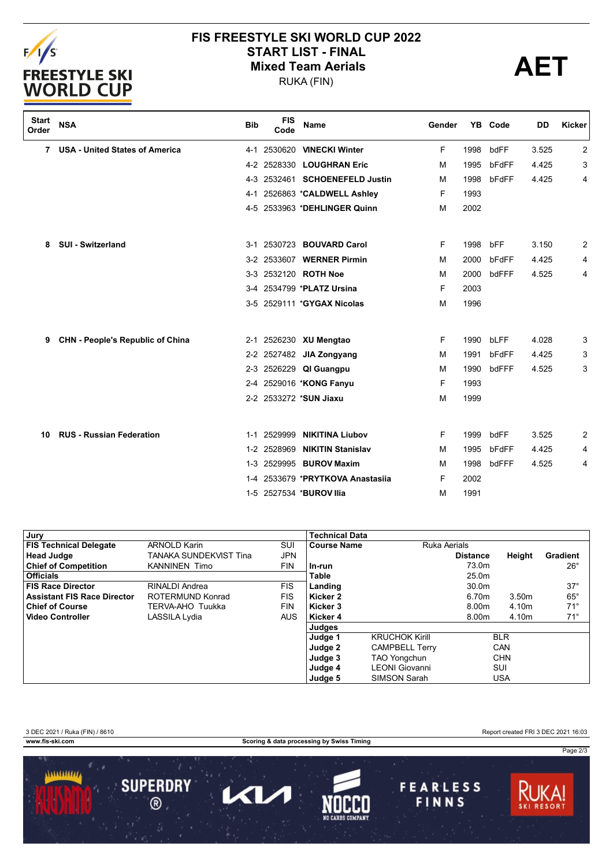

# **FIS FREESTYLE SKI WORLD CUP 2022** START LIST - FINAL<br>
Mixed Team Aerials<br>
PUKA (FIN)

RUKA (FIN)



| <b>Start</b><br>Order | <b>NSA</b>                              | <b>Bib</b> | <b>FIS</b><br>Code | Name                           | Gender |      | YB Code | DD    | Kicker |
|-----------------------|-----------------------------------------|------------|--------------------|--------------------------------|--------|------|---------|-------|--------|
| 7                     | <b>USA - United States of America</b>   |            |                    | 4-1 2530620 VINECKI Winter     | F      | 1998 | bdFF    | 3.525 | 2      |
|                       |                                         |            |                    | 4-2 2528330 LOUGHRAN Eric      | M      | 1995 | bFdFF   | 4.425 | 3      |
|                       |                                         |            |                    | 4-3 2532461 SCHOENEFELD Justin | м      | 1998 | bFdFF   | 4.425 | 4      |
|                       |                                         | 4-1        |                    | 2526863 *CALDWELL Ashley       | F      | 1993 |         |       |        |
|                       |                                         |            |                    | 4-5 2533963 *DEHLINGER Quinn   | M      | 2002 |         |       |        |
| 8                     | <b>SUI - Switzerland</b>                |            |                    | 3-1 2530723 BOUVARD Carol      | F      | 1998 | bFF     | 3.150 | 2      |
|                       |                                         |            |                    | 3-2 2533607 WERNER Pirmin      | M      | 2000 | bFdFF   | 4.425 | 4      |
|                       |                                         |            |                    | 3-3 2532120 ROTH Noe           | м      | 2000 | bdFFF   | 4.525 | 4      |
|                       |                                         |            |                    | 3-4 2534799 *PLATZ Ursina      | F      | 2003 |         |       |        |
|                       |                                         |            |                    | 3-5 2529111 *GYGAX Nicolas     | M      | 1996 |         |       |        |
| 9                     | <b>CHN - People's Republic of China</b> |            |                    | 2-1 2526230 XU Mengtao         | F      | 1990 | bLFF    | 4.028 | 3      |
|                       |                                         |            |                    | 2-2 2527482 JIA Zongyang       | M      | 1991 | bFdFF   | 4.425 | 3      |
|                       |                                         |            |                    | 2-3 2526229 QI Guangpu         | м      | 1990 | bdFFF   | 4.525 | 3      |
|                       |                                         |            |                    | 2-4 2529016 *KONG Fanyu        | F      | 1993 |         |       |        |
|                       |                                         |            |                    | 2-2 2533272 *SUN Jiaxu         | M      | 1999 |         |       |        |
| 10                    | <b>RUS - Russian Federation</b>         | $1 - 1$    | 2529999            | <b>NIKITINA Liubov</b>         | F      | 1999 | bdFF    | 3.525 | 2      |
|                       |                                         |            | 1-2 2528969        | <b>NIKITIN Stanislav</b>       | М      | 1995 | bFdFF   | 4.425 | 4      |
|                       |                                         |            |                    | 1-3 2529995 BUROV Maxim        | м      | 1998 | bdFFF   | 4.525 | 4      |
|                       |                                         | $1 - 4$    |                    | 2533679 *PRYTKOVA Anastasija   | F      | 2002 |         |       |        |
|                       |                                         |            |                    | 1-5 2527534 *BUROV Ilia        | M      | 1991 |         |       |        |
|                       |                                         |            |                    |                                |        |      |         |       |        |

| Jury                               |                        |            | <b>Technical Data</b> |                       |                 |            |              |
|------------------------------------|------------------------|------------|-----------------------|-----------------------|-----------------|------------|--------------|
| <b>FIS Technical Delegate</b>      | <b>ARNOLD Karin</b>    | SUI        | Course Name           | <b>Ruka Aerials</b>   |                 |            |              |
| <b>Head Judge</b>                  | TANAKA SUNDEKVIST Tina | JPN        |                       |                       | <b>Distance</b> | Height     | Gradient     |
| <b>Chief of Competition</b>        | <b>KANNINEN Timo</b>   | <b>FIN</b> | l In-run              |                       | 73.0m           |            | $26^{\circ}$ |
| <b>Officials</b>                   |                        |            | <b>Table</b>          |                       | 25.0m           |            |              |
| <b>FIS Race Director</b>           | RINALDI Andrea         | <b>FIS</b> | Landing               |                       | 30.0m           |            | $37^\circ$   |
| <b>Assistant FIS Race Director</b> | ROTERMUND Konrad       | <b>FIS</b> | Kicker 2              |                       | 6.70m           | 3.50m      | $65^{\circ}$ |
| <b>Chief of Course</b>             | TERVA-AHO Tuukka       | <b>FIN</b> | l Kicker 3            |                       | 8.00m           | 4.10m      | $71^{\circ}$ |
| <b>Video Controller</b>            | LASSILA Lydia          | <b>AUS</b> | l Kicker 4            |                       | 8.00m           | 4.10m      | $71^{\circ}$ |
|                                    |                        |            | Judges                |                       |                 |            |              |
|                                    |                        |            | Judge 1               | <b>KRUCHOK Kirill</b> |                 | <b>BLR</b> |              |
|                                    |                        |            | Judge 2               | <b>CAMPBELL Terry</b> |                 | CAN        |              |
|                                    |                        |            | Judge 3               | <b>TAO Yongchun</b>   |                 | <b>CHN</b> |              |
|                                    |                        |            | Judge 4               | <b>LEONI</b> Giovanni |                 | SUI        |              |
|                                    |                        |            | Judge 5               | SIMSON Sarah          |                 | <b>USA</b> |              |

| www.fis-ski.com | Scoring & data processing by Swiss Timing                                       |                   |
|-----------------|---------------------------------------------------------------------------------|-------------------|
|                 |                                                                                 | Page 2/3          |
|                 |                                                                                 |                   |
|                 | <b>SUPERDRY</b><br><b>FEARLESS</b><br>FINNS<br>$^\circledR$<br>NO CARBS COMPANY | <b>SKI RESORT</b> |
|                 |                                                                                 |                   |